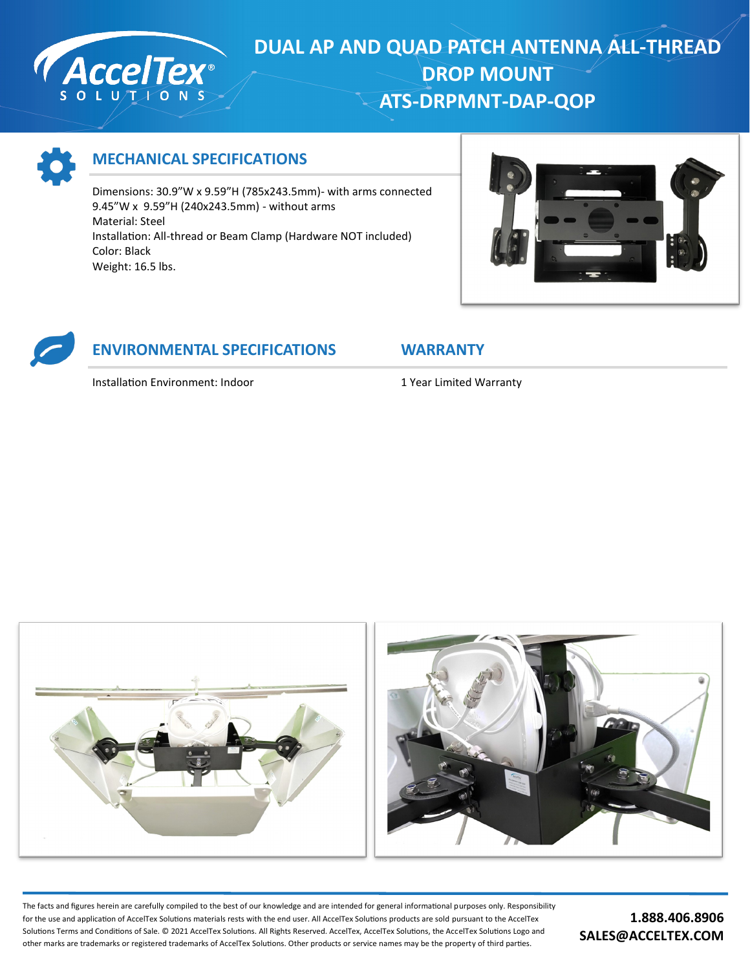

## **DUAL AP AND QUAD PATCH ANTENNA ALL-THREAD DROP MOUNT ATS-DRPMNT-DAP-QOP**



## **MECHANICAL SPECIFICATIONS**

Dimensions: 30.9"W x 9.59"H (785x243.5mm)- with arms connected 9.45"W x 9.59"H (240x243.5mm) - without arms Material: Steel Installation: All-thread or Beam Clamp (Hardware NOT included) Color: Black Weight: 16.5 lbs.



## **ENVIRONMENTAL SPECIFICATIONS WARRANTY**

Installation Environment: Indoor 1 Year Limited Warranty



The facts and figures herein are carefully compiled to the best of our knowledge and are intended for general informational purposes only. Responsibility for the use and application of AccelTex Solutions materials rests with the end user. All AccelTex Solutions products are sold pursuant to the AccelTex Solutions Terms and Conditions of Sale. © 2021 AccelTex Solutions. All Rights Reserved. AccelTex, AccelTex Solutions, the AccelTex Solutions Logo and other marks are trademarks or registered trademarks of AccelTex Solutions. Other products or service names may be the property of third parties.

**1.888.406.8906 SALES@ACCELTEX.COM**